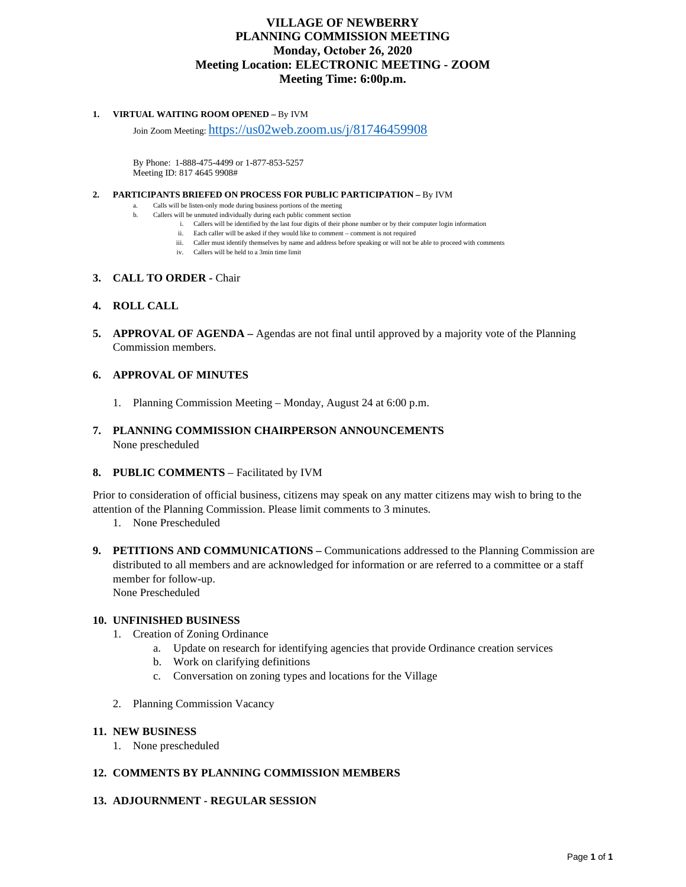### **VILLAGE OF NEWBERRY PLANNING COMMISSION MEETING Monday, October 26, 2020 Meeting Location: ELECTRONIC MEETING - ZOOM Meeting Time: 6:00p.m.**

#### **1. VIRTUAL WAITING ROOM OPENED –** By IVM

Join Zoom Meeting[: https://us02web.zoom.us/j/81746459908](https://us02web.zoom.us/j/81746459908)

By Phone: 1-888-475-4499 or 1-877-853-5257 Meeting ID: 817 4645 9908#

#### **2. PARTICIPANTS BRIEFED ON PROCESS FOR PUBLIC PARTICIPATION –** By IVM

a. Calls will be listen-only mode during business portions of the meeting

- b. Callers will be unmuted individually during each public comment section
	- i. Callers will be identified by the last four digits of their phone number or by their computer login information
	- ii. Each caller will be asked if they would like to comment comment is not required
	- iii. Caller must identify themselves by name and address before speaking or will not be able to proceed with comments
	- iv. Callers will be held to a 3min time limit

#### **3. CALL TO ORDER -** Chair

#### **4. ROLL CALL**

**5. APPROVAL OF AGENDA** – Agendas are not final until approved by a majority vote of the Planning Commission members.

#### **6. APPROVAL OF MINUTES**

- 1. Planning Commission Meeting Monday, August 24 at 6:00 p.m.
- **7. PLANNING COMMISSION CHAIRPERSON ANNOUNCEMENTS** None prescheduled

#### **8. PUBLIC COMMENTS** – Facilitated by IVM

Prior to consideration of official business, citizens may speak on any matter citizens may wish to bring to the attention of the Planning Commission. Please limit comments to 3 minutes.

- 1. None Prescheduled
- **9. PETITIONS AND COMMUNICATIONS** Communications addressed to the Planning Commission are distributed to all members and are acknowledged for information or are referred to a committee or a staff member for follow-up. None Prescheduled

# **10. UNFINISHED BUSINESS**

- 1. Creation of Zoning Ordinance
	- a. Update on research for identifying agencies that provide Ordinance creation services
	- b. Work on clarifying definitions
	- c. Conversation on zoning types and locations for the Village
- 2. Planning Commission Vacancy

#### **11. NEW BUSINESS**

1. None prescheduled

#### **12. COMMENTS BY PLANNING COMMISSION MEMBERS**

#### **13. ADJOURNMENT - REGULAR SESSION**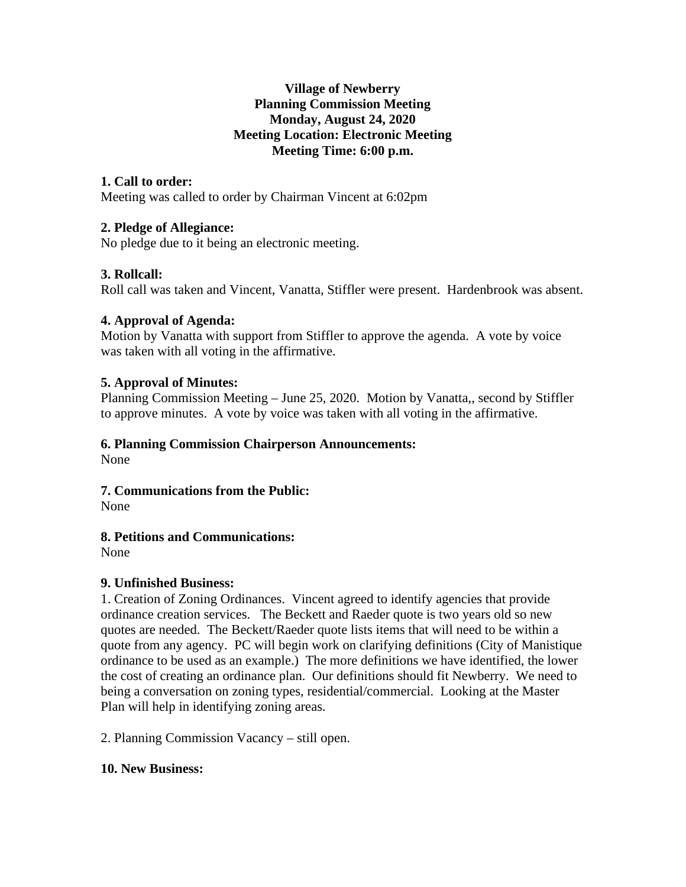### **Village of Newberry Planning Commission Meeting Monday, August 24, 2020 Meeting Location: Electronic Meeting Meeting Time: 6:00 p.m.**

# **1. Call to order:**

Meeting was called to order by Chairman Vincent at 6:02pm

### **2. Pledge of Allegiance:**

No pledge due to it being an electronic meeting.

# **3. Rollcall:**

Roll call was taken and Vincent, Vanatta, Stiffler were present. Hardenbrook was absent.

### **4. Approval of Agenda:**

Motion by Vanatta with support from Stiffler to approve the agenda. A vote by voice was taken with all voting in the affirmative.

### **5. Approval of Minutes:**

Planning Commission Meeting – June 25, 2020. Motion by Vanatta,, second by Stiffler to approve minutes. A vote by voice was taken with all voting in the affirmative.

# **6. Planning Commission Chairperson Announcements:**

None

### **7. Communications from the Public:**

None

# **8. Petitions and Communications:**

None

# **9. Unfinished Business:**

1. Creation of Zoning Ordinances. Vincent agreed to identify agencies that provide ordinance creation services. The Beckett and Raeder quote is two years old so new quotes are needed. The Beckett/Raeder quote lists items that will need to be within a quote from any agency. PC will begin work on clarifying definitions (City of Manistique ordinance to be used as an example.) The more definitions we have identified, the lower the cost of creating an ordinance plan. Our definitions should fit Newberry. We need to being a conversation on zoning types, residential/commercial. Looking at the Master Plan will help in identifying zoning areas.

2. Planning Commission Vacancy – still open.

### **10. New Business:**